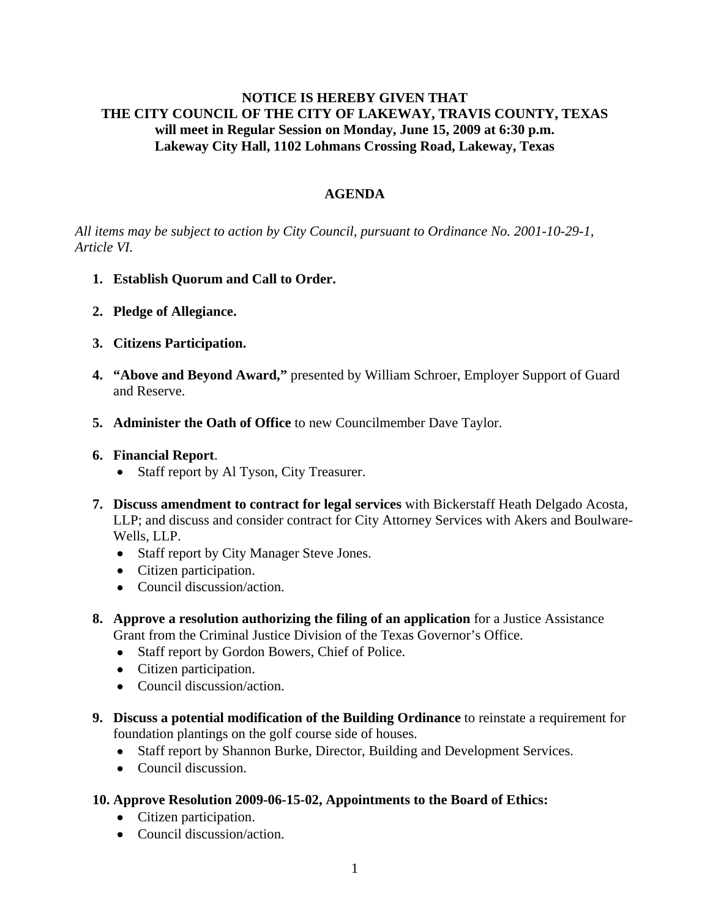# **NOTICE IS HEREBY GIVEN THAT THE CITY COUNCIL OF THE CITY OF LAKEWAY, TRAVIS COUNTY, TEXAS will meet in Regular Session on Monday, June 15, 2009 at 6:30 p.m. Lakeway City Hall, 1102 Lohmans Crossing Road, Lakeway, Texas**

# **AGENDA**

*All items may be subject to action by City Council, pursuant to Ordinance No. 2001-10-29-1, Article VI.* 

- **1. Establish Quorum and Call to Order.**
- **2. Pledge of Allegiance.**
- **3. Citizens Participation.**
- **4. "Above and Beyond Award,"** presented by William Schroer, Employer Support of Guard and Reserve.
- **5. Administer the Oath of Office** to new Councilmember Dave Taylor.

## **6. Financial Report**.

- Staff report by Al Tyson, City Treasurer.
- **7. Discuss amendment to contract for legal services** with Bickerstaff Heath Delgado Acosta, LLP; and discuss and consider contract for City Attorney Services with Akers and Boulware-Wells, LLP.
	- Staff report by City Manager Steve Jones.
	- Citizen participation.
	- Council discussion/action.
- **8. Approve a resolution authorizing the filing of an application** for a Justice Assistance Grant from the Criminal Justice Division of the Texas Governor's Office.
	- Staff report by Gordon Bowers, Chief of Police.
	- Citizen participation.
	- Council discussion/action.
- **9. Discuss a potential modification of the Building Ordinance** to reinstate a requirement for foundation plantings on the golf course side of houses.
	- Staff report by Shannon Burke, Director, Building and Development Services.
	- Council discussion.
- **10. Approve Resolution 2009-06-15-02, Appointments to the Board of Ethics:**
	- Citizen participation.
	- Council discussion/action.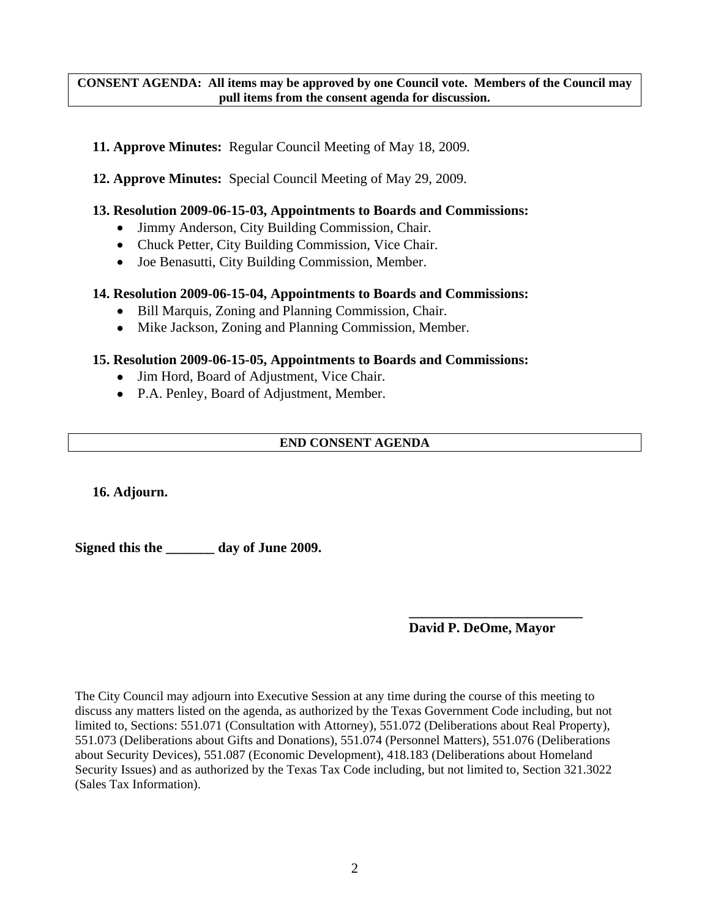### **CONSENT AGENDA: All items may be approved by one Council vote. Members of the Council may pull items from the consent agenda for discussion.**

- **11. Approve Minutes:** Regular Council Meeting of May 18, 2009.
- **12. Approve Minutes:** Special Council Meeting of May 29, 2009.

### **13. Resolution 2009-06-15-03, Appointments to Boards and Commissions:**

- Jimmy Anderson, City Building Commission, Chair.
- Chuck Petter, City Building Commission, Vice Chair.
- Joe Benasutti, City Building Commission, Member.

## **14. Resolution 2009-06-15-04, Appointments to Boards and Commissions:**

- Bill Marquis, Zoning and Planning Commission, Chair.
- Mike Jackson, Zoning and Planning Commission, Member.

### **15. Resolution 2009-06-15-05, Appointments to Boards and Commissions:**

- Jim Hord, Board of Adjustment, Vice Chair.
- P.A. Penley, Board of Adjustment, Member.

## **END CONSENT AGENDA**

**16. Adjourn.** 

**Signed this the \_\_\_\_\_\_\_ day of June 2009.** 

## **David P. DeOme, Mayor**

The City Council may adjourn into Executive Session at any time during the course of this meeting to discuss any matters listed on the agenda, as authorized by the Texas Government Code including, but not limited to, Sections: 551.071 (Consultation with Attorney), 551.072 (Deliberations about Real Property), 551.073 (Deliberations about Gifts and Donations), 551.074 (Personnel Matters), 551.076 (Deliberations about Security Devices), 551.087 (Economic Development), 418.183 (Deliberations about Homeland Security Issues) and as authorized by the Texas Tax Code including, but not limited to, Section 321.3022 (Sales Tax Information).

 **\_\_\_\_\_\_\_\_\_\_\_\_\_\_\_\_\_\_\_\_\_\_\_\_\_**